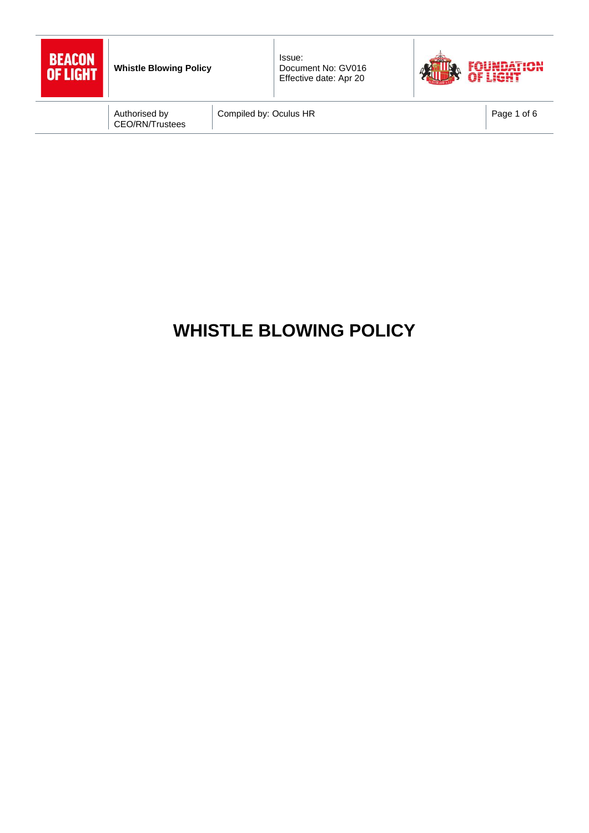| BEACON   |
|----------|
| OF LIGHT |
|          |



Compiled by: Oculus HR Page 1 of 6

# **WHISTLE BLOWING POLICY**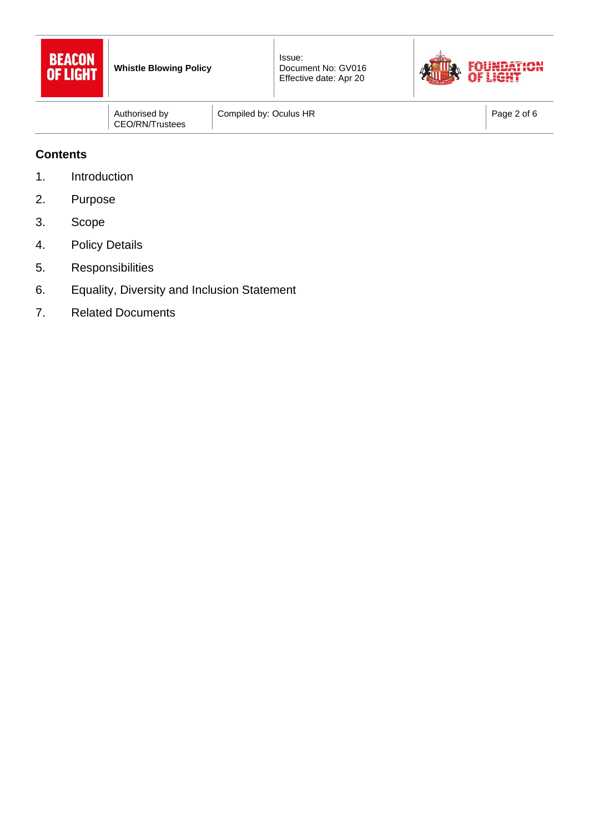



|  | Authorised by<br>CEO/RN/Trustees | Compiled by: Oculus HR | Page 2 of 6 |
|--|----------------------------------|------------------------|-------------|
|--|----------------------------------|------------------------|-------------|

## **Contents**

- 1. Introduction
- 2. Purpose
- 3. Scope
- 4. Policy Details
- 5. Responsibilities
- 6. Equality, Diversity and Inclusion Statement
- 7. Related Documents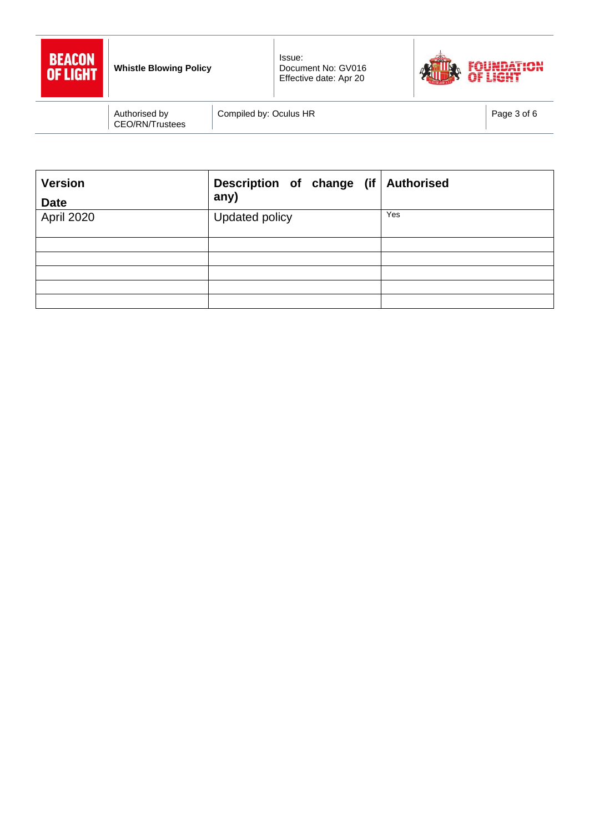



Compiled by: Oculus HR Page 3 of 6

| <b>Version</b><br><b>Date</b> | Description of change (if Authorised<br>any) |     |
|-------------------------------|----------------------------------------------|-----|
| April 2020                    | Updated policy                               | Yes |
|                               |                                              |     |
|                               |                                              |     |
|                               |                                              |     |
|                               |                                              |     |
|                               |                                              |     |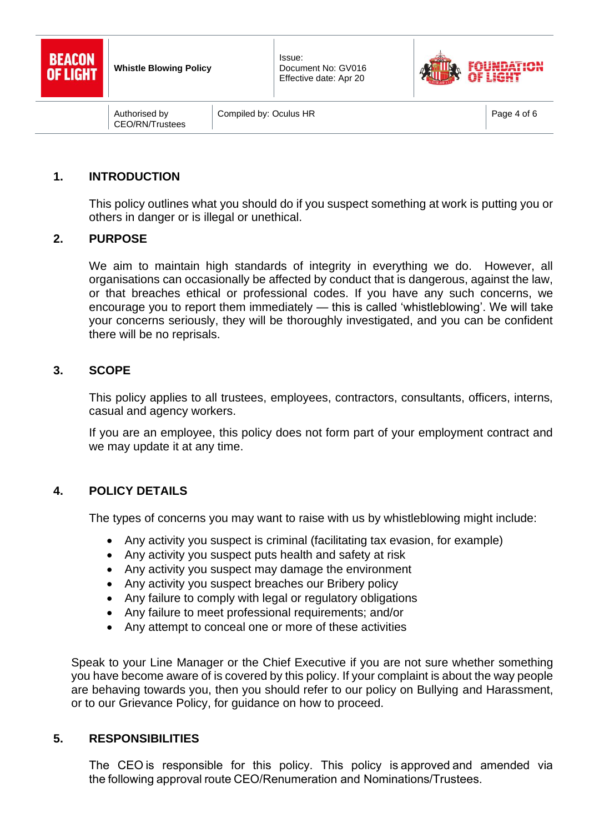



Compiled by: Oculus HR Page 4 of 6

## **1. INTRODUCTION**

This policy outlines what you should do if you suspect something at work is putting you or others in danger or is illegal or unethical.

#### **2. PURPOSE**

We aim to maintain high standards of integrity in everything we do. However, all organisations can occasionally be affected by conduct that is dangerous, against the law, or that breaches ethical or professional codes. If you have any such concerns, we encourage you to report them immediately — this is called 'whistleblowing'. We will take your concerns seriously, they will be thoroughly investigated, and you can be confident there will be no reprisals.

### **3. SCOPE**

This policy applies to all trustees, employees, contractors, consultants, officers, interns, casual and agency workers.

If you are an employee, this policy does not form part of your employment contract and we may update it at any time.

### **4. POLICY DETAILS**

The types of concerns you may want to raise with us by whistleblowing might include:

- Any activity you suspect is criminal (facilitating tax evasion, for example)
- Any activity you suspect puts health and safety at risk
- Any activity you suspect may damage the environment
- Any activity you suspect breaches our Bribery policy
- Any failure to comply with legal or regulatory obligations
- Any failure to meet professional requirements: and/or
- Any attempt to conceal one or more of these activities

Speak to your Line Manager or the Chief Executive if you are not sure whether something you have become aware of is covered by this policy. If your complaint is about the way people are behaving towards you, then you should refer to our policy on Bullying and Harassment, or to our Grievance Policy, for guidance on how to proceed.

### **5. RESPONSIBILITIES**

The CEO is responsible for this policy. This policy is approved and amended via the following approval route CEO/Renumeration and Nominations/Trustees.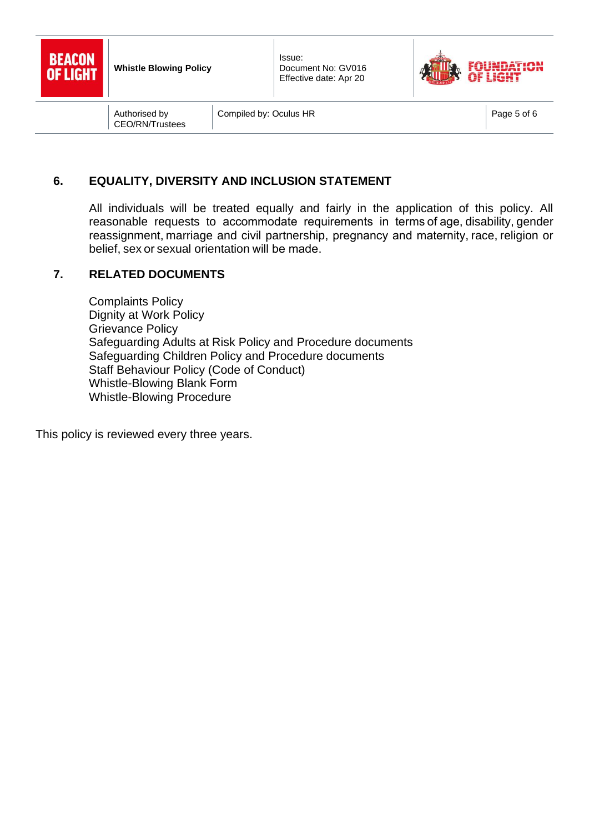



Compiled by: Oculus HR Page 5 of 6

## **6. EQUALITY, DIVERSITY AND INCLUSION STATEMENT**

All individuals will be treated equally and fairly in the application of this policy. All reasonable requests to accommodate requirements in terms of age, disability, [gender](https://www.equalityhumanrights.com/en/equality-act/protected-characteristics#reassignment)  [reassignment,](https://www.equalityhumanrights.com/en/equality-act/protected-characteristics#reassignment)[marriage and civil partnership,](https://www.equalityhumanrights.com/en/equality-act/protected-characteristics#marriage) pregnancy and maternity,[race,](https://www.equalityhumanrights.com/en/equality-act/protected-characteristics#race)[religion or](https://www.equalityhumanrights.com/en/equality-act/protected-characteristics#rob)  [belief,](https://www.equalityhumanrights.com/en/equality-act/protected-characteristics#rob)[sex](https://www.equalityhumanrights.com/en/equality-act/protected-characteristics#sex)o[r sexual orientation](https://www.equalityhumanrights.com/en/equality-act/protected-characteristics#lgb)will be made. 

#### **7. RELATED DOCUMENTS**

Complaints Policy Dignity at Work Policy Grievance Policy Safeguarding Adults at Risk Policy and Procedure documents Safeguarding Children Policy and Procedure documents Staff Behaviour Policy (Code of Conduct) Whistle-Blowing Blank Form Whistle-Blowing Procedure

This policy is reviewed every three years.